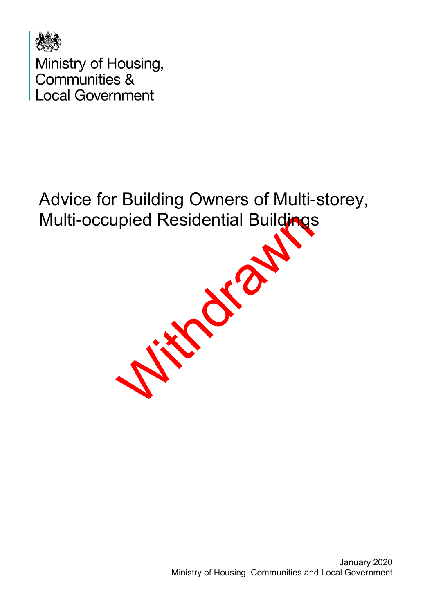

With drawn Advice for Building Owners of Multi-storey, Multi-occupied Residential Buildings

> January 2020 Ministry of Housing, Communities and Local Government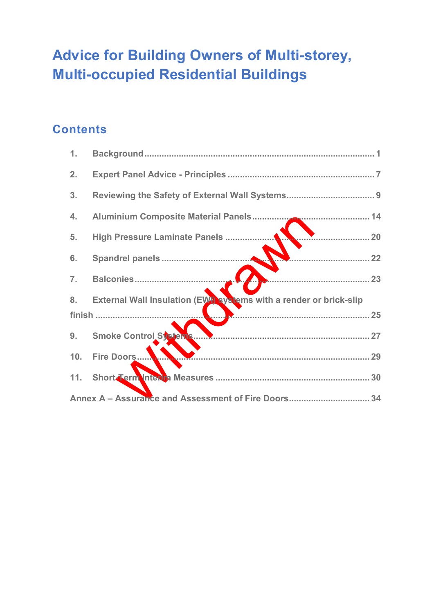# **Advice for Building Owners of Multi-storey, Multi-occupied Residential Buildings**

## **Contents**

| 1.                                                  |                                                                   |  |  |  |  |
|-----------------------------------------------------|-------------------------------------------------------------------|--|--|--|--|
| 2.                                                  |                                                                   |  |  |  |  |
| 3.                                                  |                                                                   |  |  |  |  |
| 4.                                                  |                                                                   |  |  |  |  |
| 5.                                                  | 20                                                                |  |  |  |  |
| 6.                                                  |                                                                   |  |  |  |  |
| 7.                                                  | 23                                                                |  |  |  |  |
| 8 <sub>1</sub>                                      | External Wall Insulation (EW) systems with a render or brick-slip |  |  |  |  |
|                                                     |                                                                   |  |  |  |  |
| 9.                                                  |                                                                   |  |  |  |  |
| 10.                                                 |                                                                   |  |  |  |  |
| 11.                                                 |                                                                   |  |  |  |  |
| Annex A - Assurance and Assessment of Fire Doors 34 |                                                                   |  |  |  |  |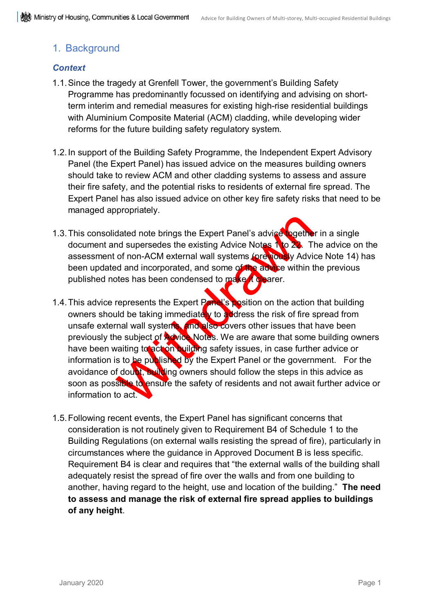### <span id="page-2-0"></span>1. Background

#### *Context*

- 1.1.Since the tragedy at Grenfell Tower, the government's Building Safety Programme has predominantly focussed on identifying and advising on shortterm interim and remedial measures for existing high-rise residential buildings with Aluminium Composite Material (ACM) cladding, while developing wider reforms for the future building safety regulatory system.
- 1.2.In support of the Building Safety Programme, the Independent Expert Advisory Panel (the Expert Panel) has issued advice on the measures building owners should take to review ACM and other cladding systems to assess and assure their fire safety, and the potential risks to residents of external fire spread. The Expert Panel has also issued advice on other key fire safety risks that need to be managed appropriately.
- 1.3. This consolidated note brings the Expert Panel's advice together in a single document and supersedes the existing Advice Notes  $\Lambda$  to  $22$ . The advice on the assessment of non-ACM external wall systems (previously Advice Note 14) has been updated and incorporated, and some of the advice within the previous published notes has been condensed to make it clearer.
- dated note brings the Expert Panel's advice sogetherd supersedes the existing Advice Notes to 23. The form ACM external wall systems (ore way Advided and incorporated, and some of the advice within the has been condensed t 1.4. This advice represents the Expert Panel's position on the action that building owners should be taking immediately to address the risk of fire spread from unsafe external wall systems, and also covers other issues that have been previously the subject of Advice Notes. We are aware that some building owners have been waiting to act on building safety issues, in case further advice or information is to be published by the Expert Panel or the government. For the avoidance of doubt, building owners should follow the steps in this advice as soon as possible to ensure the safety of residents and not await further advice or information to act
- 1.5.Following recent events, the Expert Panel has significant concerns that consideration is not routinely given to Requirement B4 of Schedule 1 to the Building Regulations (on external walls resisting the spread of fire), particularly in circumstances where the guidance in Approved Document B is less specific. Requirement B4 is clear and requires that "the external walls of the building shall adequately resist the spread of fire over the walls and from one building to another, having regard to the height, use and location of the building." **The need to assess and manage the risk of external fire spread applies to buildings of any height**.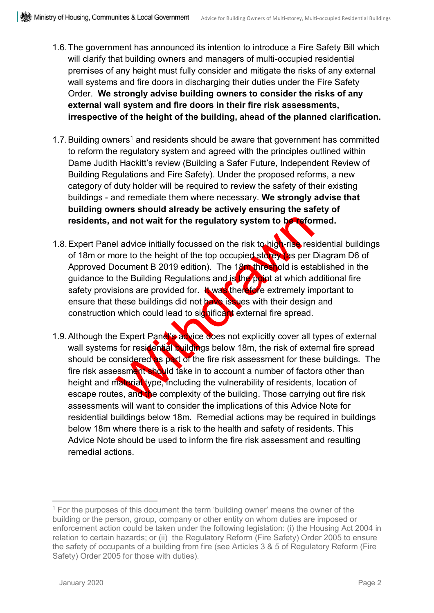- 1.6.The government has announced its intention to introduce a Fire Safety Bill which will clarify that building owners and managers of multi-occupied residential premises of any height must fully consider and mitigate the risks of any external wall systems and fire doors in discharging their duties under the Fire Safety Order. **We strongly advise building owners to consider the risks of any external wall system and fire doors in their fire risk assessments, irrespective of the height of the building, ahead of the planned clarification.**
- [1](#page-3-0).7. Building owners<sup>1</sup> and residents should be aware that government has committed to reform the regulatory system and agreed with the principles outlined within Dame Judith Hackitt's review (Building a Safer Future, Independent Review of Building Regulations and Fire Safety). Under the proposed reforms, a new category of duty holder will be required to review the safety of their existing buildings - and remediate them where necessary. **We strongly advise that building owners should already be actively ensuring the safety of residents, and not wait for the regulatory system to be reformed.**
- Individually focussed on the risk to higher the risk to higher the neutrino of the height of the top occupied stocks are provided in the Building Regulation. The 18 military old is estable building Regulations and is the p 1.8. Expert Panel advice initially focussed on the risk to high-rise residential buildings of 18m or more to the height of the top occupied storey as per Diagram D6 of Approved Document B 2019 edition). The 18m threshold is established in the guidance to the Building Regulations and is the point at which additional fire safety provisions are provided for. **It was therefore** extremely important to ensure that these buildings did not have issues with their design and construction which could lead to significant external fire spread.
- 1.9. Although the Expert Panel's advice does not explicitly cover all types of external wall systems for residential buildings below 18m, the risk of external fire spread should be considered as part of the fire risk assessment for these buildings. The fire risk assessment should take in to account a number of factors other than height and material type, including the vulnerability of residents, location of escape routes, and the complexity of the building. Those carrying out fire risk assessments will want to consider the implications of this Advice Note for residential buildings below 18m. Remedial actions may be required in buildings below 18m where there is a risk to the health and safety of residents. This Advice Note should be used to inform the fire risk assessment and resulting remedial actions.

 $\overline{a}$ 

<span id="page-3-0"></span> $1$  For the purposes of this document the term 'building owner' means the owner of the building or the person, group, company or other entity on whom duties are imposed or enforcement action could be taken under the following legislation: (i) the Housing Act 2004 in relation to certain hazards; or (ii) the Regulatory Reform (Fire Safety) Order 2005 to ensure the safety of occupants of a building from fire (see Articles 3 & 5 of Regulatory Reform (Fire Safety) Order 2005 for those with duties).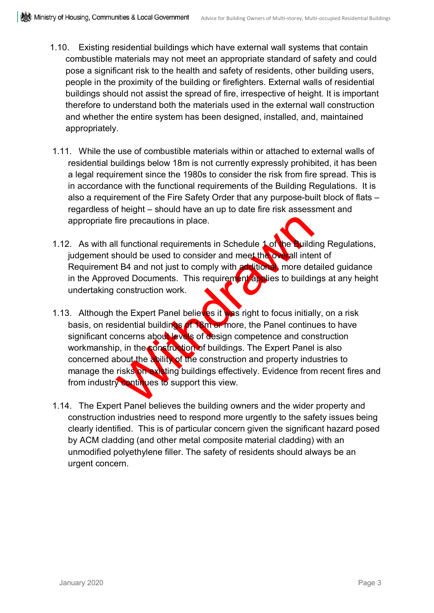- 1.10. Existing residential buildings which have external wall systems that contain combustible materials may not meet an appropriate standard of safety and could pose a significant risk to the health and safety of residents, other building users, people in the proximity of the building or firefighters. External walls of residential buildings should not assist the spread of fire, irrespective of height. It is important therefore to understand both the materials used in the external wall construction and whether the entire system has been designed, installed, and, maintained appropriately.
- 1.11. While the use of combustible materials within or attached to external walls of residential buildings below 18m is not currently expressly prohibited, it has been a legal requirement since the 1980s to consider the risk from fire spread. This is in accordance with the functional requirements of the Building Regulations. It is also a requirement of the Fire Safety Order that any purpose-built block of flats – regardless of height – should have an up to date fire risk assessment and appropriate fire precautions in place.
- 1.12. As with all functional requirements in Schedule 1 of the Building Regulations, judgement should be used to consider and meet the overall intent of Requirement B4 and not just to comply with additional, more detailed guidance in the Approved Documents. This requirement applies to buildings at any height undertaking construction work.
- fire precautions in place.<br>
Il functional requirements in Schedule 1 of the Buildi<br>
hould be used to consider and meet the on-ball inte<br>
t B4 and not just to comply with a different more de-<br>
wed Documents. This requiremen 1.13. Although the Expert Panel believes it was right to focus initially, on a risk basis, on residential buildings of 18m or more, the Panel continues to have significant concerns about levels of design competence and construction workmanship, in the construction of buildings. The Expert Panel is also concerned about the ability of the construction and property industries to manage the risks on existing buildings effectively. Evidence from recent fires and from industry continues to support this view.
- 1.14. The Expert Panel believes the building owners and the wider property and construction industries need to respond more urgently to the safety issues being clearly identified. This is of particular concern given the significant hazard posed by ACM cladding (and other metal composite material cladding) with an unmodified polyethylene filler. The safety of residents should always be an urgent concern.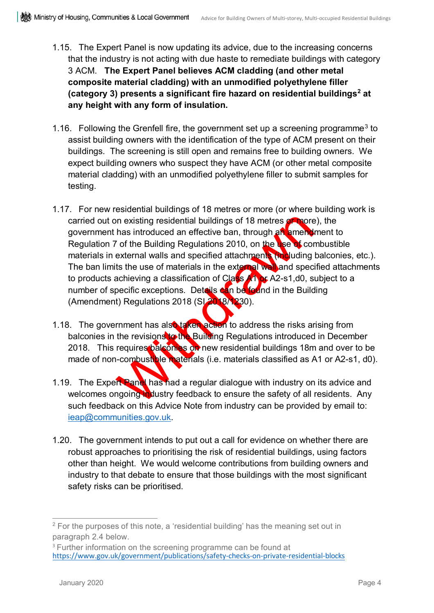- 1.15. The Expert Panel is now updating its advice, due to the increasing concerns that the industry is not acting with due haste to remediate buildings with category 3 ACM. **The Expert Panel believes ACM cladding (and other metal composite material cladding) with an unmodified polyethylene filler (category 3) presents a significant fire hazard on residential buildings[2](#page-5-0) at any height with any form of insulation.**
- 1.16. Following the Grenfell fire, the government set up a screening programme<sup>[3](#page-5-1)</sup> to assist building owners with the identification of the type of ACM present on their buildings. The screening is still open and remains free to building owners. We expect building owners who suspect they have ACM (or other metal composite material cladding) with an unmodified polyethylene filler to submit samples for testing.
- on existing residential buildings of 18 metres or hore has introduced an effective ban, through an sment of the Building Regulations 2010, on the see of conexternal walls and specified attachment wall and specified the use 1.17. For new residential buildings of 18 metres or more (or where building work is carried out on existing residential buildings of 18 metres or more), the government has introduced an effective ban, through an amendment to Regulation 7 of the Building Regulations 2010, on the use of combustible materials in external walls and specified attachments (including balconies, etc.). The ban limits the use of materials in the external wall and specified attachments to products achieving a classification of Class A1 or A2-s1,d0, subject to a number of specific exceptions. Details can be found in the Building (Amendment) Regulations 2018 (SI 2018/1230).
- 1.18. The government has also taken action to address the risks arising from balconies in the revisions to the Building Regulations introduced in December 2018. This requires balconies on new residential buildings 18m and over to be made of non-combustible materials (i.e. materials classified as A1 or A2-s1, d0).
- 1.19. The Expert Panel has had a regular dialogue with industry on its advice and welcomes ongoing industry feedback to ensure the safety of all residents. Any such feedback on this Advice Note from industry can be provided by email to: [ieap@communities.gov.uk.](mailto:ieap@communities.gov.uk)
- 1.20. The government intends to put out a call for evidence on whether there are robust approaches to prioritising the risk of residential buildings, using factors other than height. We would welcome contributions from building owners and industry to that debate to ensure that those buildings with the most significant safety risks can be prioritised.

<span id="page-5-0"></span><sup>&</sup>lt;sup>2</sup> For the purposes of this note, a 'residential building' has the meaning set out in paragraph 2.4 below.

<span id="page-5-1"></span><sup>&</sup>lt;sup>3</sup> Further information on the screening programme can be found at <https://www.gov.uk/government/publications/safety-checks-on-private-residential-blocks>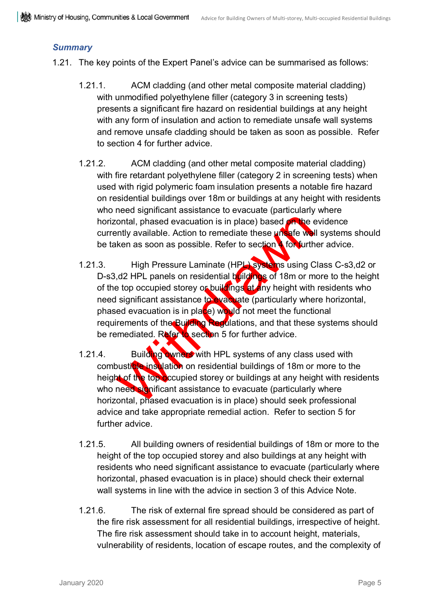#### *Summary*

- 1.21. The key points of the Expert Panel's advice can be summarised as follows:
	- 1.21.1. ACM cladding (and other metal composite material cladding) with unmodified polyethylene filler (category 3 in screening tests) presents a significant fire hazard on residential buildings at any height with any form of insulation and action to remediate unsafe wall systems and remove unsafe cladding should be taken as soon as possible. Refer to section 4 for further advice.
	- 1.21.2. ACM cladding (and other metal composite material cladding) with fire retardant polyethylene filler (category 2 in screening tests) when used with rigid polymeric foam insulation presents a notable fire hazard on residential buildings over 18m or buildings at any height with residents who need significant assistance to evacuate (particularly where horizontal, phased evacuation is in place) based on the evidence currently available. Action to remediate these unsafe wall systems should be taken as soon as possible. Refer to section **4** for further advice.
	- contal, phased evacuation is in place) based on the ently available. Action to remediate these unsafe we<br>hken as soon as possible. Refer to section for furth<br>High Pressure Laminate (HPL) systems using C<br>,d2 HPL panels on r 1.21.3. High Pressure Laminate (HPL) systems using Class C-s3,d2 or D-s3,d2 HPL panels on residential buildings of 18m or more to the height of the top occupied storey or buildings at any height with residents who need significant assistance to evacuate (particularly where horizontal, phased evacuation is in place) would not meet the functional requirements of the Building Regulations, and that these systems should be remediated. Refer to section 5 for further advice.
	- 1.21.4. Building owners with HPL systems of any class used with combusticle insulation on residential buildings of 18m or more to the height of the top occupied storey or buildings at any height with residents who need significant assistance to evacuate (particularly where horizontal, phased evacuation is in place) should seek professional advice and take appropriate remedial action. Refer to section 5 for further advice.
	- 1.21.5. All building owners of residential buildings of 18m or more to the height of the top occupied storey and also buildings at any height with residents who need significant assistance to evacuate (particularly where horizontal, phased evacuation is in place) should check their external wall systems in line with the advice in section 3 of this Advice Note.
	- 1.21.6. The risk of external fire spread should be considered as part of the fire risk assessment for all residential buildings, irrespective of height. The fire risk assessment should take in to account height, materials, vulnerability of residents, location of escape routes, and the complexity of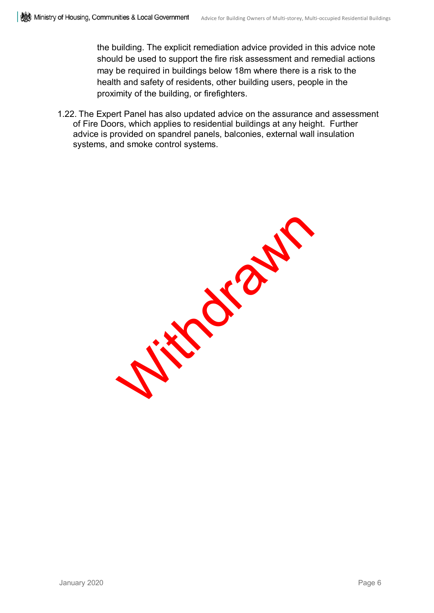the building. The explicit remediation advice provided in this advice note should be used to support the fire risk assessment and remedial actions may be required in buildings below 18m where there is a risk to the health and safety of residents, other building users, people in the proximity of the building, or firefighters.

1.22. The Expert Panel has also updated advice on the assurance and assessment of Fire Doors, which applies to residential buildings at any height. Further advice is provided on spandrel panels, balconies, external wall insulation systems, and smoke control systems.

Withdrawn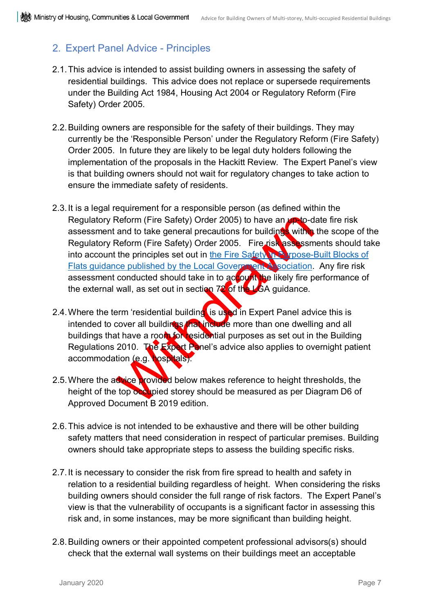### <span id="page-8-0"></span>2. Expert Panel Advice - Principles

- 2.1.This advice is intended to assist building owners in assessing the safety of residential buildings. This advice does not replace or supersede requirements under the Building Act 1984, Housing Act 2004 or Regulatory Reform (Fire Safety) Order 2005.
- 2.2.Building owners are responsible for the safety of their buildings. They may currently be the 'Responsible Person' under the Regulatory Reform (Fire Safety) Order 2005. In future they are likely to be legal duty holders following the implementation of the proposals in the Hackitt Review. The Expert Panel's view is that building owners should not wait for regulatory changes to take action to ensure the immediate safety of residents.
- Reform (Fire Safety) Order 2005) to have an unto-d<br>and to take general precautions for building<br>Reform (Fire Safety) Order 2005. Fire risk assessment<br>the principles set out in the Fire Safety Management<br>ce published by the 2.3.It is a legal requirement for a responsible person (as defined within the Regulatory Reform (Fire Safety) Order 2005) to have an up-to-date fire risk assessment and to take general precautions for buildings within the scope of the Regulatory Reform (Fire Safety) Order 2005. Fire risk assessments should take into account the principles set out in [the Fire Safety in Purpose-Built Blocks of](https://www.local.gov.uk/sites/default/files/documents/fire-safety-purpose-built-04b.pdf) Flats guidance published by the Local Government Association. Any fire risk assessment conducted should take in to account the likely fire performance of the external wall, as set out in section  $72$  of the LGA guidance.
- 2.4. Where the term 'residential building' is used in Expert Panel advice this is intended to cover all buildings that include more than one dwelling and all buildings that have a room for residential purposes as set out in the Building Regulations 2010. The Expert Panel's advice also applies to overnight patient accommodation (e.g. hospitals).
- 2.5. Where the advice provided below makes reference to height thresholds, the height of the top occupied storey should be measured as per Diagram D6 of Approved Document B 2019 edition.
- 2.6.This advice is not intended to be exhaustive and there will be other building safety matters that need consideration in respect of particular premises. Building owners should take appropriate steps to assess the building specific risks.
- 2.7. It is necessary to consider the risk from fire spread to health and safety in relation to a residential building regardless of height. When considering the risks building owners should consider the full range of risk factors. The Expert Panel's view is that the vulnerability of occupants is a significant factor in assessing this risk and, in some instances, may be more significant than building height.
- 2.8.Building owners or their appointed competent professional advisors(s) should check that the external wall systems on their buildings meet an acceptable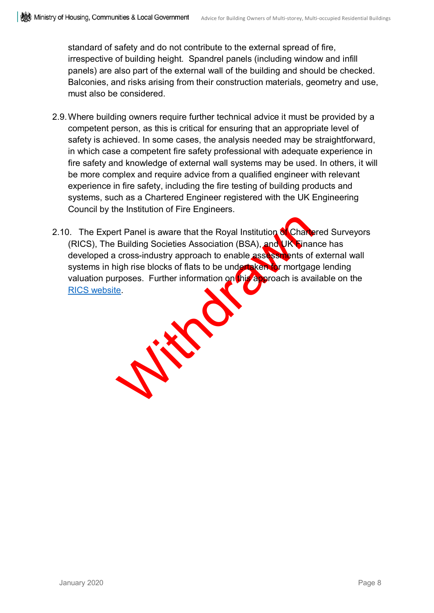standard of safety and do not contribute to the external spread of fire, irrespective of building height. Spandrel panels (including window and infill panels) are also part of the external wall of the building and should be checked. Balconies, and risks arising from their construction materials, geometry and use, must also be considered.

- 2.9.Where building owners require further technical advice it must be provided by a competent person, as this is critical for ensuring that an appropriate level of safety is achieved. In some cases, the analysis needed may be straightforward, in which case a competent fire safety professional with adequate experience in fire safety and knowledge of external wall systems may be used. In others, it will be more complex and require advice from a qualified engineer with relevant experience in fire safety, including the fire testing of building products and systems, such as a Chartered Engineer registered with the UK Engineering Council by the Institution of Fire Engineers.
- With die 2.10. The Expert Panel is aware that the Royal Institution of Chartered Surveyors (RICS), The Building Societies Association (BSA), and UK Finance has developed a cross-industry approach to enable assessments of external wall systems in high rise blocks of flats to be undertaken for mortgage lending valuation purposes. Further information on this approach is available on the [RICS website.](https://www.rics.org/uk/news-insight/latest-news/fire-safety/new-industry-wide-process-agreed-for-valuation-of-high-rise-buildings/)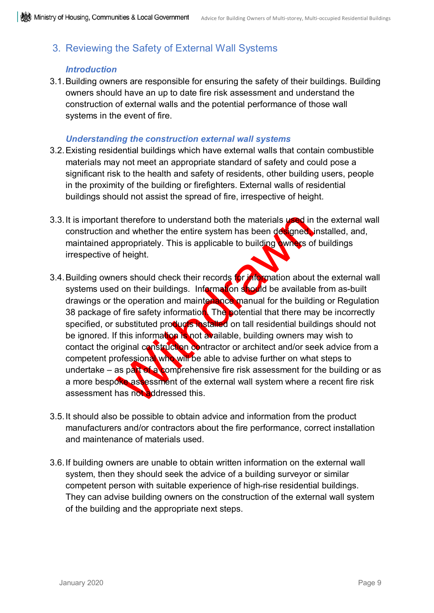### <span id="page-10-0"></span>3. Reviewing the Safety of External Wall Systems

#### *Introduction*

3.1.Building owners are responsible for ensuring the safety of their buildings. Building owners should have an up to date fire risk assessment and understand the construction of external walls and the potential performance of those wall systems in the event of fire.

#### *Understanding the construction external wall systems*

- 3.2.Existing residential buildings which have external walls that contain combustible materials may not meet an appropriate standard of safety and could pose a significant risk to the health and safety of residents, other building users, people in the proximity of the building or firefighters. External walls of residential buildings should not assist the spread of fire, irrespective of height.
- 3.3. It is important therefore to understand both the materials used in the external wall construction and whether the entire system has been designed, installed, and, maintained appropriately. This is applicable to building owners of buildings irrespective of height.
- t therefore to understand both the materials used in<br>and whether the entire system has been designed<br>ppropriately. This is applicable to building wines of<br>f height.<br>Figure of height.<br>Figure of height.<br>Figure of their recor 3.4. Building owners should check their records for information about the external wall systems used on their buildings. Information should be available from as-built drawings or the operation and maintenance manual for the building or Regulation 38 package of fire safety information. The potential that there may be incorrectly specified, or substituted products installed on tall residential buildings should not be ignored. If this information is not available, building owners may wish to contact the original construction contractor or architect and/or seek advice from a competent professional who will be able to advise further on what steps to undertake – as part of a comprehensive fire risk assessment for the building or as a more bespoke assessment of the external wall system where a recent fire risk assessment has not addressed this.
- 3.5.It should also be possible to obtain advice and information from the product manufacturers and/or contractors about the fire performance, correct installation and maintenance of materials used.
- 3.6.If building owners are unable to obtain written information on the external wall system, then they should seek the advice of a building surveyor or similar competent person with suitable experience of high-rise residential buildings. They can advise building owners on the construction of the external wall system of the building and the appropriate next steps.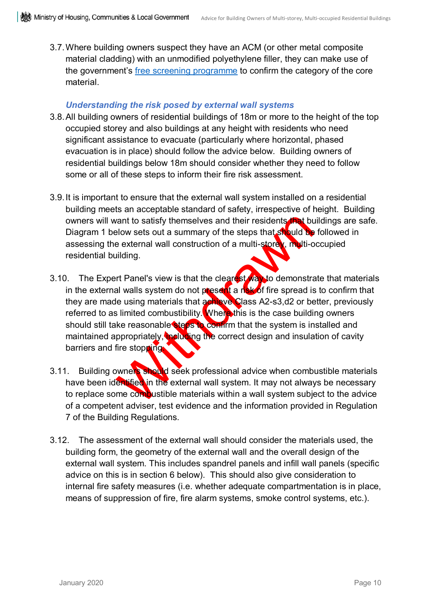3.7.Where building owners suspect they have an ACM (or other metal composite material cladding) with an unmodified polyethylene filler, they can make use of the government's [free screening programme](https://www.gov.uk/government/publications/safety-checks-on-private-residential-blocks) to confirm the category of the core material.

#### *Understanding the risk posed by external wall systems*

- 3.8.All building owners of residential buildings of 18m or more to the height of the top occupied storey and also buildings at any height with residents who need significant assistance to evacuate (particularly where horizontal, phased evacuation is in place) should follow the advice below. Building owners of residential buildings below 18m should consider whether they need to follow some or all of these steps to inform their fire risk assessment.
- 3.9.It is important to ensure that the external wall system installed on a residential building meets an acceptable standard of safety, irrespective of height. Building owners will want to satisfy themselves and their residents that buildings are safe. Diagram 1 below sets out a summary of the steps that should be followed in assessing the external wall construction of a multi-storey, multi-occupied residential building.
- want to satisfy themselves and their residents and buy<br>be external wall construction of a multi-store with the<br>diding.<br>In the external wall construction of a multi-store with the<br>diding.<br>In the pass with the clear of the s 3.10. The Expert Panel's view is that the clearest way to demonstrate that materials in the external walls system do not present a risk of fire spread is to confirm that they are made using materials that achieve Class A2-s3,d2 or better, previously referred to as limited combustibility. Where this is the case building owners should still take reasonable steps to confirm that the system is installed and maintained appropriately, including the correct design and insulation of cavity barriers and fire stopping.
- 3.11. Building owners should seek professional advice when combustible materials have been identified in the external wall system. It may not always be necessary to replace some combustible materials within a wall system subject to the advice of a competent adviser, test evidence and the information provided in Regulation 7 of the Building Regulations.
- 3.12. The assessment of the external wall should consider the materials used, the building form, the geometry of the external wall and the overall design of the external wall system. This includes spandrel panels and infill wall panels (specific advice on this is in section 6 below). This should also give consideration to internal fire safety measures (i.e. whether adequate compartmentation is in place, means of suppression of fire, fire alarm systems, smoke control systems, etc.).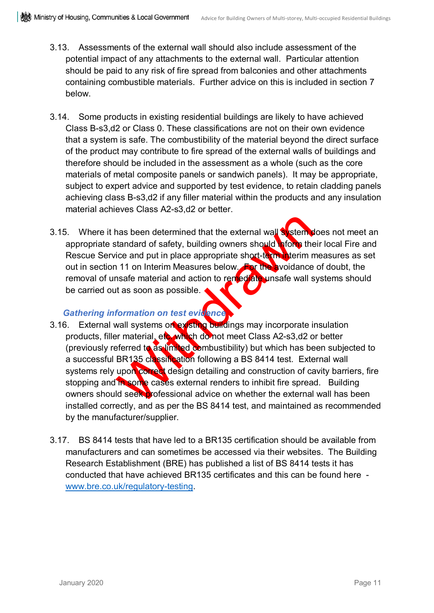- 3.13. Assessments of the external wall should also include assessment of the potential impact of any attachments to the external wall. Particular attention should be paid to any risk of fire spread from balconies and other attachments containing combustible materials. Further advice on this is included in section 7 below.
- 3.14. Some products in existing residential buildings are likely to have achieved Class B-s3,d2 or Class 0. These classifications are not on their own evidence that a system is safe. The combustibility of the material beyond the direct surface of the product may contribute to fire spread of the external walls of buildings and therefore should be included in the assessment as a whole (such as the core materials of metal composite panels or sandwich panels). It may be appropriate, subject to expert advice and supported by test evidence, to retain cladding panels achieving class B-s3,d2 if any filler material within the products and any insulation material achieves Class A2-s3,d2 or better.
- 3.15. Where it has been determined that the external wall system does not meet an appropriate standard of safety, building owners should inform their local Fire and Rescue Service and put in place appropriate short-term interim measures as set out in section 11 on Interim Measures below. For the avoidance of doubt, the removal of unsafe material and action to remediate unsafe wall systems should be carried out as soon as possible.

#### *Gathering information on test evidence*

- has been determined that the external wall<br>standard of safety, building owners should him the<br>ice and put in place appropriate short-to the vicinin n<br>matic and put in place appropriate short-to the vicidaries<br>material and 3.16. External wall systems on existing buildings may incorporate insulation products, filler material, etc. which do not meet Class A2-s3,d2 or better (previously referred to as limited combustibility) but which has been subjected to a successful BR135 classification following a BS 8414 test. External wall systems rely upon correct design detailing and construction of cavity barriers, fire stopping and in some cases external renders to inhibit fire spread. Building owners should seek professional advice on whether the external wall has been installed correctly, and as per the BS 8414 test, and maintained as recommended by the manufacturer/supplier.
- 3.17. BS 8414 tests that have led to a BR135 certification should be available from manufacturers and can sometimes be accessed via their websites. The Building Research Establishment (BRE) has published a list of BS 8414 tests it has conducted that have achieved BR135 certificates and this can be found here [www.bre.co.uk/regulatory-testing.](http://www.bre.co.uk/regulatory-testing)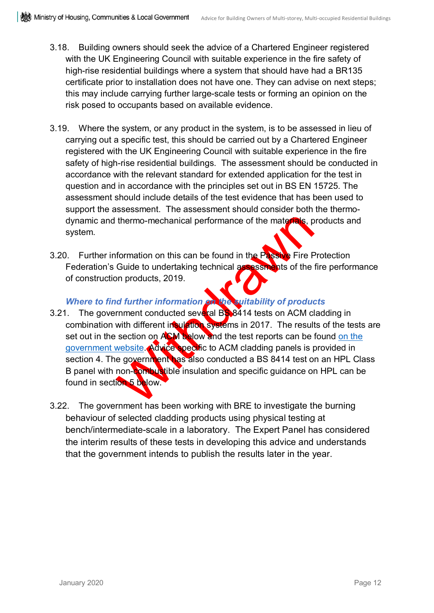- 3.18. Building owners should seek the advice of a Chartered Engineer registered with the UK Engineering Council with suitable experience in the fire safety of high-rise residential buildings where a system that should have had a BR135 certificate prior to installation does not have one. They can advise on next steps; this may include carrying further large-scale tests or forming an opinion on the risk posed to occupants based on available evidence.
- 3.19. Where the system, or any product in the system, is to be assessed in lieu of carrying out a specific test, this should be carried out by a Chartered Engineer registered with the UK Engineering Council with suitable experience in the fire safety of high-rise residential buildings. The assessment should be conducted in accordance with the relevant standard for extended application for the test in question and in accordance with the principles set out in BS EN 15725. The assessment should include details of the test evidence that has been used to support the assessment. The assessment should consider both the thermodynamic and thermo-mechanical performance of the materials, products and system.
- 3.20. Further information on this can be found in the Passive Fire Protection Federation's Guide to undertaking technical assessments of the fire performance of construction products, 2019.

#### *Where to find further information on the suitability of products*

- thermo-mechanical performance of the materials, proton and formation on this can be found in the Passive Fire F<br>Guide to undertaking technical assessments of the<br>products, 2019.<br>In products, 2019.<br>With different informatio 3.21. The government conducted several BS 8414 tests on ACM cladding in combination with different insulation systems in 2017. The results of the tests are set out in the section on ACM below and the test reports can be found on the [government website.](https://www.gov.uk/guidance/aluminium-composite-material-cladding) Advice specific to ACM cladding panels is provided in section 4. The government has also conducted a BS 8414 test on an HPL Class B panel with non-combustible insulation and specific guidance on HPL can be found in section 5 below.
- 3.22. The government has been working with BRE to investigate the burning behaviour of selected cladding products using physical testing at bench/intermediate-scale in a laboratory. The Expert Panel has considered the interim results of these tests in developing this advice and understands that the government intends to publish the results later in the year.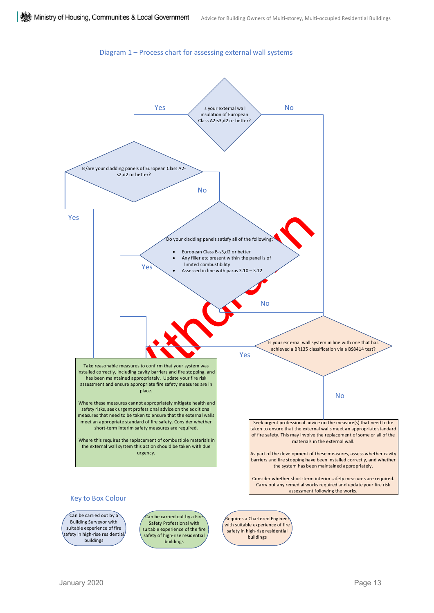#### Diagram 1 – Process chart for assessing external wall systems



Building Surveyor with suitable experience of fire afety in high-rise residential buildings

Safety Professional with suitable experience of the fire safety of high-rise residential buildings

Requires a Chartered Engineer with suitable experience of fire safety in high-rise residential buildings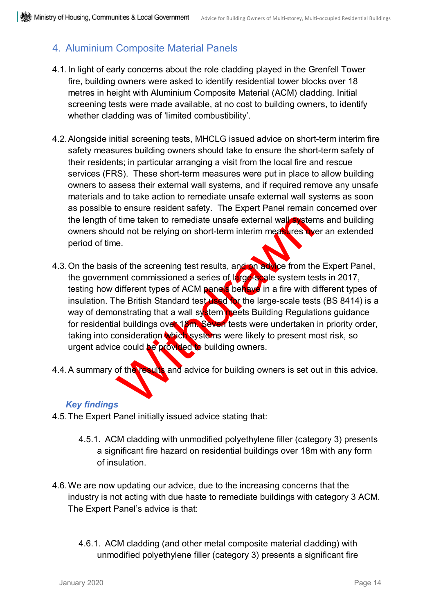### <span id="page-15-0"></span>4. Aluminium Composite Material Panels

- 4.1.In light of early concerns about the role cladding played in the Grenfell Tower fire, building owners were asked to identify residential tower blocks over 18 metres in height with Aluminium Composite Material (ACM) cladding. Initial screening tests were made available, at no cost to building owners, to identify whether cladding was of 'limited combustibility'.
- 4.2.Alongside initial screening tests, MHCLG issued advice on short-term interim fire safety measures building owners should take to ensure the short-term safety of their residents; in particular arranging a visit from the local fire and rescue services (FRS). These short-term measures were put in place to allow building owners to assess their external wall systems, and if required remove any unsafe materials and to take action to remediate unsafe external wall systems as soon as possible to ensure resident safety. The Expert Panel remain concerned over the length of time taken to remediate unsafe external wall systems and building owners should not be relying on short-term interim measures over an extended period of time.
- Frame taken to remediate unsafe external wall system<br>and not be relying on short-term interim measures with the<br>e.<br>So of the screening test results, and an advice from the<br>net commissioned a series of large-spale system te 4.3. On the basis of the screening test results, and on advice from the Expert Panel, the government commissioned a series of large-scale system tests in 2017, testing how different types of ACM panels behave in a fire with different types of insulation. The British Standard test used for the large-scale tests (BS 8414) is a way of demonstrating that a wall system meets Building Regulations guidance for residential buildings over 18m. Seven tests were undertaken in priority order, taking into consideration which systems were likely to present most risk, so urgent advice could be provided to building owners.
- 4.4. A summary of the results and advice for building owners is set out in this advice.

#### *Key findings*

- 4.5.The Expert Panel initially issued advice stating that:
	- 4.5.1. ACM cladding with unmodified polyethylene filler (category 3) presents a significant fire hazard on residential buildings over 18m with any form of insulation.
- 4.6.We are now updating our advice, due to the increasing concerns that the industry is not acting with due haste to remediate buildings with category 3 ACM. The Expert Panel's advice is that:
	- 4.6.1. ACM cladding (and other metal composite material cladding) with unmodified polyethylene filler (category 3) presents a significant fire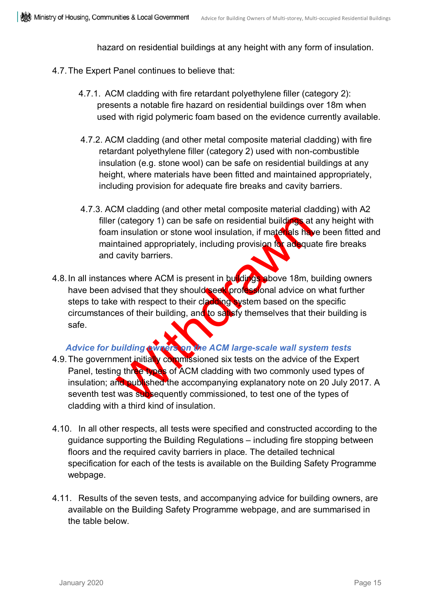hazard on residential buildings at any height with any form of insulation.

- 4.7.The Expert Panel continues to believe that:
	- 4.7.1. ACM cladding with fire retardant polyethylene filler (category 2): presents a notable fire hazard on residential buildings over 18m when used with rigid polymeric foam based on the evidence currently available.
	- 4.7.2. ACM cladding (and other metal composite material cladding) with fire retardant polyethylene filler (category 2) used with non-combustible insulation (e.g. stone wool) can be safe on residential buildings at any height, where materials have been fitted and maintained appropriately, including provision for adequate fire breaks and cavity barriers.
	- 4.7.3. ACM cladding (and other metal composite material cladding) with A2 filler (category 1) can be safe on residential buildings at any height with foam insulation or stone wool insulation, if materials have been fitted and maintained appropriately, including provision for adequate fire breaks and cavity barriers.
- (category 1) can be safe on residential building at<br>an insulation or stone wool insulation, if materials had<br>tained appropriately, including provision for adequa<br>cavity barriers.<br>Les where ACM is present in buildings above 4.8. In all instances where ACM is present in buildings above 18m, building owners have been advised that they should seek professional advice on what further steps to take with respect to their cladding system based on the specific circumstances of their building, and to satisfy themselves that their building is safe.

#### *Advice for building owners on the ACM large-scale wall system tests*

- 4.9. The government initially commissioned six tests on the advice of the Expert Panel, testing three types of ACM cladding with two commonly used types of insulation; and published the accompanying explanatory note on 20 July 2017. A seventh test was subsequently commissioned, to test one of the types of cladding with a third kind of insulation.
- 4.10. In all other respects, all tests were specified and constructed according to the guidance supporting the Building Regulations – including fire stopping between floors and the required cavity barriers in place. The detailed technical specification for each of the tests is available on the Building Safety Programme webpage.
- 4.11. Results of the seven tests, and accompanying advice for building owners, are available on the Building Safety Programme webpage, and are summarised in the table below.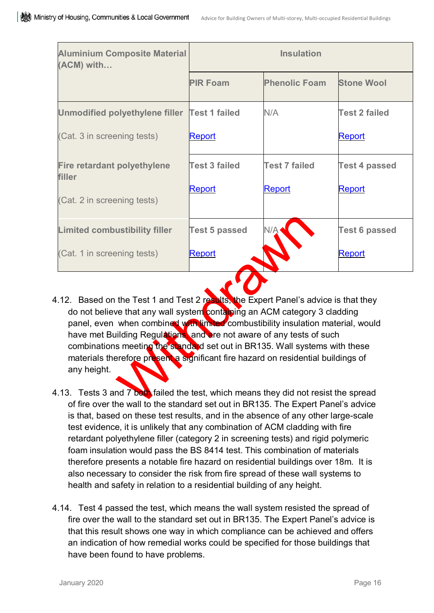| <b>Aluminium Composite Material</b><br>(ACM) with | <b>Insulation</b>    |                      |                      |  |
|---------------------------------------------------|----------------------|----------------------|----------------------|--|
|                                                   | <b>PIR Foam</b>      | <b>Phenolic Foam</b> | <b>Stone Wool</b>    |  |
| Unmodified polyethylene filler Test 1 failed      |                      | N/A                  | <b>Test 2 failed</b> |  |
| (Cat. 3 in screening tests)                       | Report               |                      | <b>Report</b>        |  |
| <b>Fire retardant polyethylene</b><br>filler      | Test 3 failed        | <b>Test 7 failed</b> | <b>Test 4 passed</b> |  |
| (Cat. 2 in screening tests)                       | Report               | <b>Report</b>        | <b>Report</b>        |  |
| <b>Limited combustibility filler</b>              | <b>Test 5 passed</b> | N/Ą                  | <b>Test 6 passed</b> |  |
| (Cat. 1 in screening tests)                       | <b>Report</b>        |                      | <b>Report</b>        |  |

- ustibility filler<br>
Test 5 passed<br>
Pring tests)<br>
Report<br>
Test 5 passed<br>
Report<br>
We the Test 1 and Test 2 report<br>
we that any wall system containing an ACM category<br>
when combined with limit a combustibility insulation<br>
when 4.12. Based on the Test 1 and Test 2 results, the Expert Panel's advice is that they do not believe that any wall system containing an ACM category 3 cladding panel, even when combined with limited combustibility insulation material, would have met Building Regulations, and are not aware of any tests of such combinations meeting the standard set out in BR135. Wall systems with these materials therefore present a significant fire hazard on residential buildings of any height.
- 4.13. Tests 3 and 7 both failed the test, which means they did not resist the spread of fire over the wall to the standard set out in BR135. The Expert Panel's advice is that, based on these test results, and in the absence of any other large-scale test evidence, it is unlikely that any combination of ACM cladding with fire retardant polyethylene filler (category 2 in screening tests) and rigid polymeric foam insulation would pass the BS 8414 test. This combination of materials therefore presents a notable fire hazard on residential buildings over 18m. It is also necessary to consider the risk from fire spread of these wall systems to health and safety in relation to a residential building of any height.
- 4.14. Test 4 passed the test, which means the wall system resisted the spread of fire over the wall to the standard set out in BR135. The Expert Panel's advice is that this result shows one way in which compliance can be achieved and offers an indication of how remedial works could be specified for those buildings that have been found to have problems.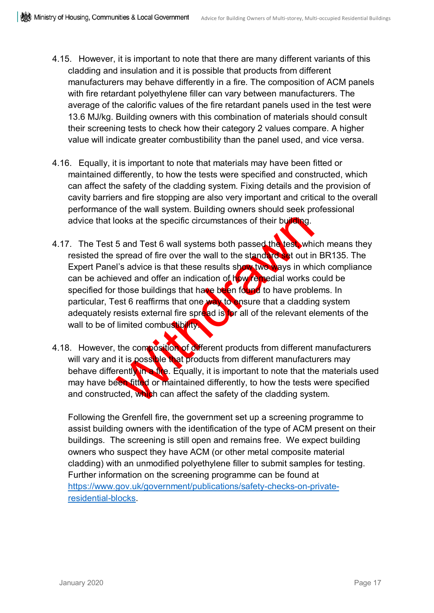- 4.15. However, it is important to note that there are many different variants of this cladding and insulation and it is possible that products from different manufacturers may behave differently in a fire. The composition of ACM panels with fire retardant polyethylene filler can vary between manufacturers. The average of the calorific values of the fire retardant panels used in the test were 13.6 MJ/kg. Building owners with this combination of materials should consult their screening tests to check how their category 2 values compare. A higher value will indicate greater combustibility than the panel used, and vice versa.
- 4.16. Equally, it is important to note that materials may have been fitted or maintained differently, to how the tests were specified and constructed, which can affect the safety of the cladding system. Fixing details and the provision of cavity barriers and fire stopping are also very important and critical to the overall performance of the wall system. Building owners should seek professional advice that looks at the specific circumstances of their building.
- ooks at the specific circumstances of their building.<br>
5 and Test 6 wall systems both passed the test whis<br>
spread of fire over the wall to the standard destruct it<br>
is advice is that these results show ways in wh<br>
aved an 4.17. The Test 5 and Test 6 wall systems both passed the test, which means they resisted the spread of fire over the wall to the standard set out in BR135. The Expert Panel's advice is that these results show two ways in which compliance can be achieved and offer an indication of how remedial works could be specified for those buildings that have been found to have problems. In particular, Test 6 reaffirms that one way to ensure that a cladding system adequately resists external fire spread is for all of the relevant elements of the wall to be of limited combustibility.
- 4.18. However, the composition of different products from different manufacturers will vary and it is possible that products from different manufacturers may behave differently in a fire. Equally, it is important to note that the materials used may have been fitted or maintained differently, to how the tests were specified and constructed, which can affect the safety of the cladding system.

Following the Grenfell fire, the government set up a screening programme to assist building owners with the identification of the type of ACM present on their buildings. The screening is still open and remains free. We expect building owners who suspect they have ACM (or other metal composite material cladding) with an unmodified polyethylene filler to submit samples for testing. Further information on the screening programme can be found at [https://www.gov.uk/government/publications/safety-checks-on-private](https://www.gov.uk/government/publications/safety-checks-on-private-residential-blocks)[residential-blocks.](https://www.gov.uk/government/publications/safety-checks-on-private-residential-blocks)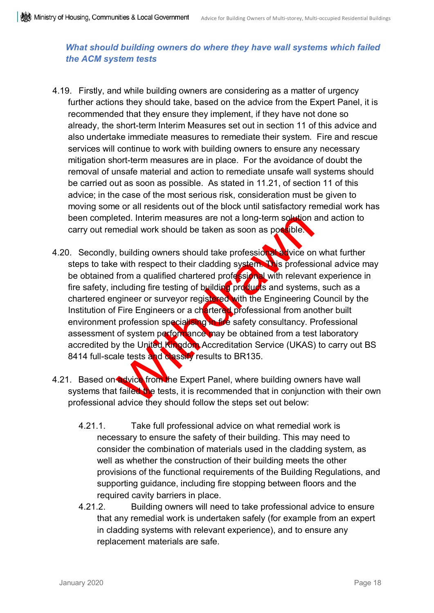#### *What should building owners do where they have wall systems which failed the ACM system tests*

- 4.19. Firstly, and while building owners are considering as a matter of urgency further actions they should take, based on the advice from the Expert Panel, it is recommended that they ensure they implement, if they have not done so already, the short-term Interim Measures set out in section 11 of this advice and also undertake immediate measures to remediate their system. Fire and rescue services will continue to work with building owners to ensure any necessary mitigation short-term measures are in place. For the avoidance of doubt the removal of unsafe material and action to remediate unsafe wall systems should be carried out as soon as possible. As stated in 11.21, of section 11 of this advice; in the case of the most serious risk, consideration must be given to moving some or all residents out of the block until satisfactory remedial work has been completed. Interim measures are not a long-term solution and action to carry out remedial work should be taken as soon as possible.
- eted. Interim measures are not a long-term solution<br>medial work should be taken as soon as possible.<br>
, building owners should take profession at a vice or<br>
e with respect to their cladding system. This professi<br>
from a qu 4.20. Secondly, building owners should take professional advice on what further steps to take with respect to their cladding system. This professional advice may be obtained from a qualified chartered professional with relevant experience in fire safety, including fire testing of building products and systems, such as a chartered engineer or surveyor registered with the Engineering Council by the Institution of Fire Engineers or a chartered professional from another built environment profession specialising in fire safety consultancy. Professional assessment of system performance may be obtained from a test laboratory accredited by the United Kingdom Accreditation Service (UKAS) to carry out BS 8414 full-scale tests and classify results to BR135.
- 4.21. Based on advice from the Expert Panel, where building owners have wall systems that failed the tests, it is recommended that in conjunction with their own professional advice they should follow the steps set out below:
	- 4.21.1. Take full professional advice on what remedial work is necessary to ensure the safety of their building. This may need to consider the combination of materials used in the cladding system, as well as whether the construction of their building meets the other provisions of the functional requirements of the Building Regulations, and supporting guidance, including fire stopping between floors and the required cavity barriers in place.
	- 4.21.2. Building owners will need to take professional advice to ensure that any remedial work is undertaken safely (for example from an expert in cladding systems with relevant experience), and to ensure any replacement materials are safe.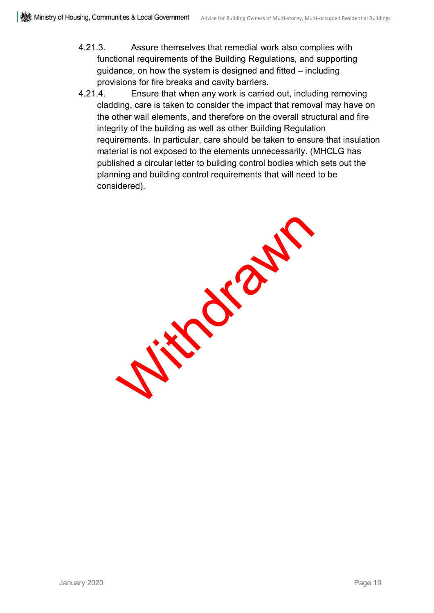- 4.21.3. Assure themselves that remedial work also complies with functional requirements of the Building Regulations, and supporting guidance, on how the system is designed and fitted – including provisions for fire breaks and cavity barriers.
- 4.21.4. Ensure that when any work is carried out, including removing cladding, care is taken to consider the impact that removal may have on the other wall elements, and therefore on the overall structural and fire integrity of the building as well as other Building Regulation requirements. In particular, care should be taken to ensure that insulation material is not exposed to the elements unnecessarily. (MHCLG has published a circular letter to building control bodies which sets out the planning and building control requirements that will need to be considered).

With July 2nd 1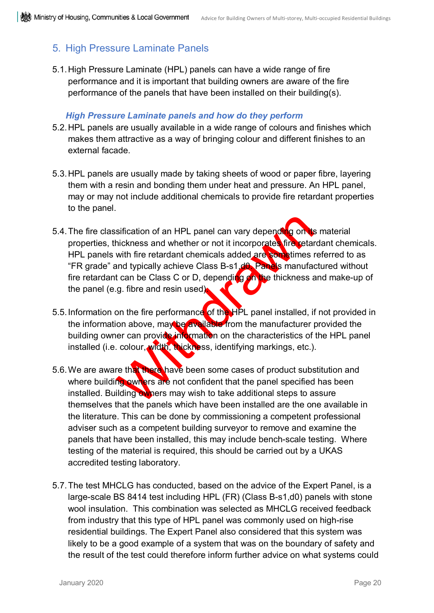### <span id="page-21-0"></span>5. High Pressure Laminate Panels

5.1.High Pressure Laminate (HPL) panels can have a wide range of fire performance and it is important that building owners are aware of the fire performance of the panels that have been installed on their building(s).

#### *High Pressure Laminate panels and how do they perform*

- 5.2.HPL panels are usually available in a wide range of colours and finishes which makes them attractive as a way of bringing colour and different finishes to an external facade.
- 5.3.HPL panels are usually made by taking sheets of wood or paper fibre, layering them with a resin and bonding them under heat and pressure. An HPL panel, may or may not include additional chemicals to provide fire retardant properties to the panel.
- sification of an HPL panel can vary depending on the<br>hickness and whether or not it incorporates fire retard<br>with fire retardant chemicals added are sometimes in<br>and typically achieve Class B-s1.d6. Panels manufact<br>can be 5.4. The fire classification of an HPL panel can vary depending on its material properties, thickness and whether or not it incorporates fire retardant chemicals. HPL panels with fire retardant chemicals added are sometimes referred to as "FR grade" and typically achieve Class B-s1, do. Panels manufactured without fire retardant can be Class C or D, depending on the thickness and make-up of the panel (e.g. fibre and resin used).
- 5.5. Information on the fire performance of the HPL panel installed, if not provided in the information above, may be available from the manufacturer provided the building owner can provide information on the characteristics of the HPL panel installed (i.e. colour, width, thickness, identifying markings, etc.).
- 5.6. We are aware that there have been some cases of product substitution and where building owners are not confident that the panel specified has been installed. Building owners may wish to take additional steps to assure themselves that the panels which have been installed are the one available in the literature. This can be done by commissioning a competent professional adviser such as a competent building surveyor to remove and examine the panels that have been installed, this may include bench-scale testing. Where testing of the material is required, this should be carried out by a UKAS accredited testing laboratory.
- 5.7. The test MHCLG has conducted, based on the advice of the Expert Panel, is a large-scale BS 8414 test including HPL (FR) (Class B-s1,d0) panels with stone wool insulation. This combination was selected as MHCLG received feedback from industry that this type of HPL panel was commonly used on high-rise residential buildings. The Expert Panel also considered that this system was likely to be a good example of a system that was on the boundary of safety and the result of the test could therefore inform further advice on what systems could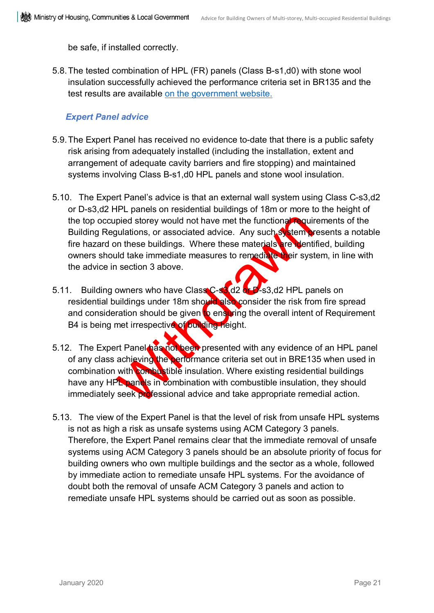be safe, if installed correctly.

5.8.The tested combination of HPL (FR) panels (Class B-s1,d0) with stone wool insulation successfully achieved the performance criteria set in BR135 and the test results are available [on the government website.](https://www.gov.uk/government/publications/fire-test-report-mhclg-bs-8414-hpl) 

#### *Expert Panel advice*

- 5.9.The Expert Panel has received no evidence to-date that there is a public safety risk arising from adequately installed (including the installation, extent and arrangement of adequate cavity barriers and fire stopping) and maintained systems involving Class B-s1,d0 HPL panels and stone wool insulation.
- pied storey would not have met the functional required properties and properties and the buildings. Where these materials are went and take immediate measures to remediate wheir systems and the intervalse of the materials 5.10. The Expert Panel's advice is that an external wall system using Class C-s3,d2 or D-s3,d2 HPL panels on residential buildings of 18m or more to the height of the top occupied storey would not have met the functional requirements of the Building Regulations, or associated advice. Any such system presents a notable fire hazard on these buildings. Where these materials are identified, building owners should take immediate measures to remediate their system, in line with the advice in section 3 above.
- 5.11. Building owners who have Class C-s3(d2 or D-s3,d2 HPL panels on residential buildings under 18m should also consider the risk from fire spread and consideration should be given to ensuring the overall intent of Requirement B4 is being met irrespective of building height.
- 5.12. The Expert Panel has not been presented with any evidence of an HPL panel of any class achieving the performance criteria set out in BRE135 when used in combination with combustible insulation. Where existing residential buildings have any HPL panels in combination with combustible insulation, they should immediately seek professional advice and take appropriate remedial action.
- 5.13. The view of the Expert Panel is that the level of risk from unsafe HPL systems is not as high a risk as unsafe systems using ACM Category 3 panels. Therefore, the Expert Panel remains clear that the immediate removal of unsafe systems using ACM Category 3 panels should be an absolute priority of focus for building owners who own multiple buildings and the sector as a whole, followed by immediate action to remediate unsafe HPL systems. For the avoidance of doubt both the removal of unsafe ACM Category 3 panels and action to remediate unsafe HPL systems should be carried out as soon as possible.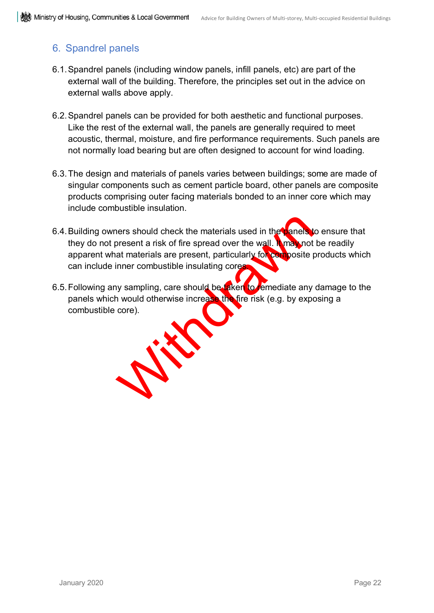### <span id="page-23-0"></span>6. Spandrel panels

- 6.1.Spandrel panels (including window panels, infill panels, etc) are part of the external wall of the building. Therefore, the principles set out in the advice on external walls above apply.
- 6.2.Spandrel panels can be provided for both aesthetic and functional purposes. Like the rest of the external wall, the panels are generally required to meet acoustic, thermal, moisture, and fire performance requirements. Such panels are not normally load bearing but are often designed to account for wind loading.
- 6.3.The design and materials of panels varies between buildings; some are made of singular components such as cement particle board, other panels are composite products comprising outer facing materials bonded to an inner core which may include combustible insulation.
- 6.4. Building owners should check the materials used in the panels to ensure that they do not present a risk of fire spread over the wall. It may not be readily apparent what materials are present, particularly for composite products which can include inner combustible insulating cores
- W. W. 6.5. Following any sampling, care should be taken to remediate any damage to the panels which would otherwise increase the fire risk (e.g. by exposing a combustible core).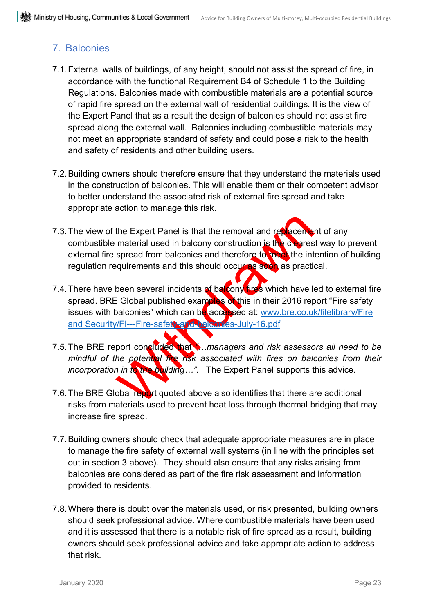### <span id="page-24-0"></span>7. Balconies

- 7.1.External walls of buildings, of any height, should not assist the spread of fire, in accordance with the functional Requirement B4 of Schedule 1 to the Building Regulations. Balconies made with combustible materials are a potential source of rapid fire spread on the external wall of residential buildings. It is the view of the Expert Panel that as a result the design of balconies should not assist fire spread along the external wall. Balconies including combustible materials may not meet an appropriate standard of safety and could pose a risk to the health and safety of residents and other building users.
- 7.2.Building owners should therefore ensure that they understand the materials used in the construction of balconies. This will enable them or their competent advisor to better understand the associated risk of external fire spread and take appropriate action to manage this risk.
- the Expert Panel is that the removal and replacement<br>material used in balcony construction is the charges<br>spread from balconies and therefore to the other intequirements and this should occur is seen as practi-<br>been severa 7.3. The view of the Expert Panel is that the removal and replacement of any combustible material used in balcony construction is the clearest way to prevent external fire spread from balconies and therefore to meet the intention of building regulation requirements and this should occur as soon as practical.
- 7.4. There have been several incidents of balcony fires which have led to external fire spread. BRE Global published examples of this in their 2016 report "Fire safety issues with balconies" which can be accessed at: www.bre.co.uk/filelibrary/Fire and Security/FI---Fire-safety-and-balconies-July-16.pdf
- 7.5.The BRE report concluded that *"…managers and risk assessors all need to be mindful of the potential fire risk associated with fires on balconies from their incorporation in to the building…".* The Expert Panel supports this advice.
- 7.6. The BRE Global report quoted above also identifies that there are additional risks from materials used to prevent heat loss through thermal bridging that may increase fire spread.
- 7.7.Building owners should check that adequate appropriate measures are in place to manage the fire safety of external wall systems (in line with the principles set out in section 3 above). They should also ensure that any risks arising from balconies are considered as part of the fire risk assessment and information provided to residents.
- 7.8.Where there is doubt over the materials used, or risk presented, building owners should seek professional advice. Where combustible materials have been used and it is assessed that there is a notable risk of fire spread as a result, building owners should seek professional advice and take appropriate action to address that risk.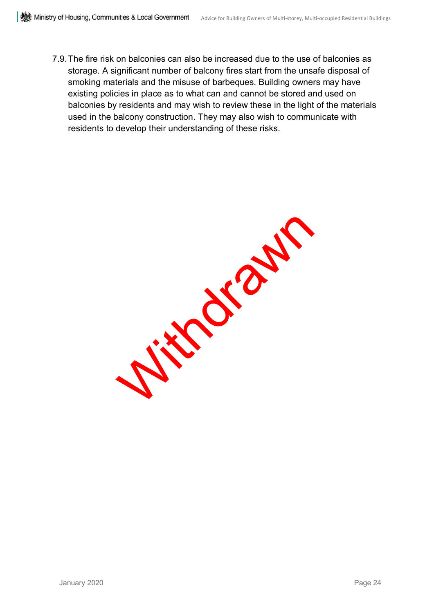7.9.The fire risk on balconies can also be increased due to the use of balconies as storage. A significant number of balcony fires start from the unsafe disposal of smoking materials and the misuse of barbeques. Building owners may have existing policies in place as to what can and cannot be stored and used on balconies by residents and may wish to review these in the light of the materials used in the balcony construction. They may also wish to communicate with residents to develop their understanding of these risks.

With drawn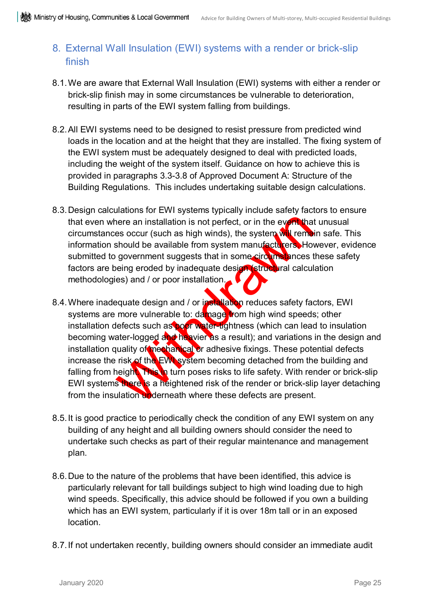### <span id="page-26-0"></span>8. External Wall Insulation (EWI) systems with a render or brick-slip finish

- 8.1.We are aware that External Wall Insulation (EWI) systems with either a render or brick-slip finish may in some circumstances be vulnerable to deterioration, resulting in parts of the EWI system falling from buildings.
- 8.2.All EWI systems need to be designed to resist pressure from predicted wind loads in the location and at the height that they are installed. The fixing system of the EWI system must be adequately designed to deal with predicted loads, including the weight of the system itself. Guidance on how to achieve this is provided in paragraphs 3.3-3.8 of Approved Document A: Structure of the Building Regulations. This includes undertaking suitable design calculations.
- 8.3.Design calculations for EWI systems typically include safety factors to ensure that even where an installation is not perfect, or in the event that unusual circumstances occur (such as high winds), the system will remain safe. This information should be available from system manufacturers. However, evidence submitted to government suggests that in some circumstances these safety factors are being eroded by inadequate design (structural calculation methodologies) and / or poor installation.
- nere an installation is not perfect, or in the event that<br>es occur (such as high winds), the system will remea<br>should be available from system manufacturers. How<br>government suggests that in some circums increases the<br>eing 8.4. Where inadequate design and / or installation reduces safety factors, EWI systems are more vulnerable to: damage from high wind speeds; other installation defects such as poor water-tightness (which can lead to insulation becoming water-logged and heavier as a result); and variations in the design and installation quality of mechanical or adhesive fixings. These potential defects increase the risk of the EWI system becoming detached from the building and falling from height. This in turn poses risks to life safety. With render or brick-slip EWI systems there is a heightened risk of the render or brick-slip layer detaching from the insulation underneath where these defects are present.
- 8.5.It is good practice to periodically check the condition of any EWI system on any building of any height and all building owners should consider the need to undertake such checks as part of their regular maintenance and management plan.
- 8.6.Due to the nature of the problems that have been identified, this advice is particularly relevant for tall buildings subject to high wind loading due to high wind speeds. Specifically, this advice should be followed if you own a building which has an EWI system, particularly if it is over 18m tall or in an exposed location.
- 8.7.If not undertaken recently, building owners should consider an immediate audit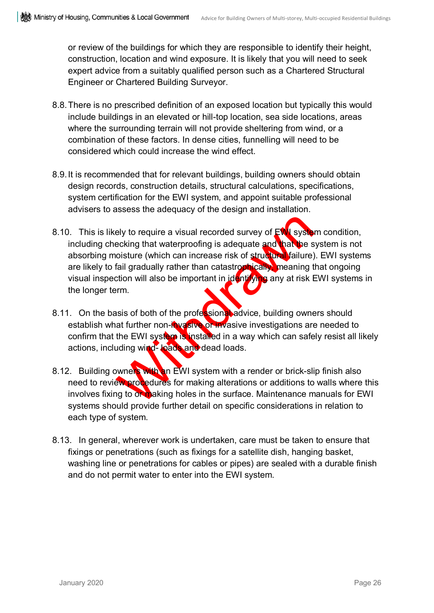or review of the buildings for which they are responsible to identify their height, construction, location and wind exposure. It is likely that you will need to seek expert advice from a suitably qualified person such as a Chartered Structural Engineer or Chartered Building Surveyor.

- 8.8.There is no prescribed definition of an exposed location but typically this would include buildings in an elevated or hill-top location, sea side locations, areas where the surrounding terrain will not provide sheltering from wind, or a combination of these factors. In dense cities, funnelling will need to be considered which could increase the wind effect.
- 8.9.It is recommended that for relevant buildings, building owners should obtain design records, construction details, structural calculations, specifications, system certification for the EWI system, and appoint suitable professional advisers to assess the adequacy of the design and installation.
- ely to require a visual recorded survey of Ewisse<br>ecking that waterproofing is adequate and have be soisture (which can increase risk of structure failure)<br>fail gradually rather than catastromically meaning to<br>tion will al 8.10. This is likely to require a visual recorded survey of  $EW$  system condition, including checking that waterproofing is adequate and that the system is not absorbing moisture (which can increase risk of structural failure). EWI systems are likely to fail gradually rather than catastrophically, meaning that ongoing visual inspection will also be important in identifying any at risk EWI systems in the longer term.
- 8.11. On the basis of both of the professional advice, building owners should establish what further non-invasive or invasive investigations are needed to confirm that the EWI system is installed in a way which can safely resist all likely actions, including wind- loads and dead loads.
- 8.12. Building owners with an EWI system with a render or brick-slip finish also need to review procedures for making alterations or additions to walls where this involves fixing to or making holes in the surface. Maintenance manuals for EWI systems should provide further detail on specific considerations in relation to each type of system.
- 8.13. In general, wherever work is undertaken, care must be taken to ensure that fixings or penetrations (such as fixings for a satellite dish, hanging basket, washing line or penetrations for cables or pipes) are sealed with a durable finish and do not permit water to enter into the EWI system.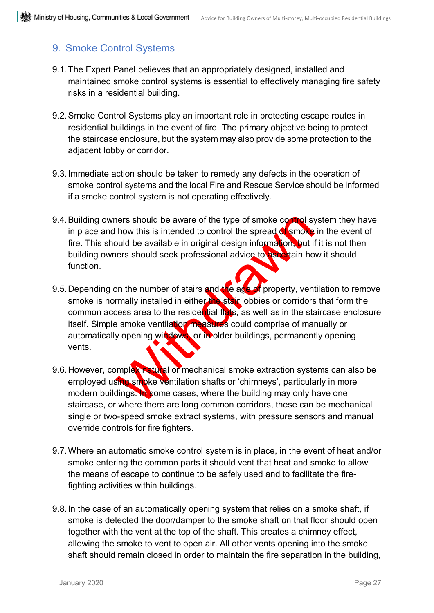### <span id="page-28-0"></span>9. Smoke Control Systems

- 9.1.The Expert Panel believes that an appropriately designed, installed and maintained smoke control systems is essential to effectively managing fire safety risks in a residential building.
- 9.2.Smoke Control Systems play an important role in protecting escape routes in residential buildings in the event of fire. The primary objective being to protect the staircase enclosure, but the system may also provide some protection to the adjacent lobby or corridor.
- 9.3.Immediate action should be taken to remedy any defects in the operation of smoke control systems and the local Fire and Rescue Service should be informed if a smoke control system is not operating effectively.
- 9.4. Building owners should be aware of the type of smoke control system they have in place and how this is intended to control the spread of smoke in the event of fire. This should be available in original design information, but if it is not then building owners should seek professional advice to ascertain how it should function.
- The should be aware of the type of smoke control strengths<br>how this is intended to control the spread of smoke<br>puld be available in original design information, but it<br>hers should seek professional advice to asset tain ho<br> 9.5. Depending on the number of stairs and the age of property, ventilation to remove smoke is normally installed in either the stair lobbies or corridors that form the common access area to the residential flats, as well as in the staircase enclosure itself. Simple smoke ventilation measures could comprise of manually or automatically opening windows, or in older buildings, permanently opening vents.
- 9.6. However, complex natural or mechanical smoke extraction systems can also be employed using smoke ventilation shafts or 'chimneys', particularly in more modern buildings. In some cases, where the building may only have one staircase, or where there are long common corridors, these can be mechanical single or two-speed smoke extract systems, with pressure sensors and manual override controls for fire fighters.
- 9.7.Where an automatic smoke control system is in place, in the event of heat and/or smoke entering the common parts it should vent that heat and smoke to allow the means of escape to continue to be safely used and to facilitate the firefighting activities within buildings.
- 9.8.In the case of an automatically opening system that relies on a smoke shaft, if smoke is detected the door/damper to the smoke shaft on that floor should open together with the vent at the top of the shaft. This creates a chimney effect, allowing the smoke to vent to open air. All other vents opening into the smoke shaft should remain closed in order to maintain the fire separation in the building,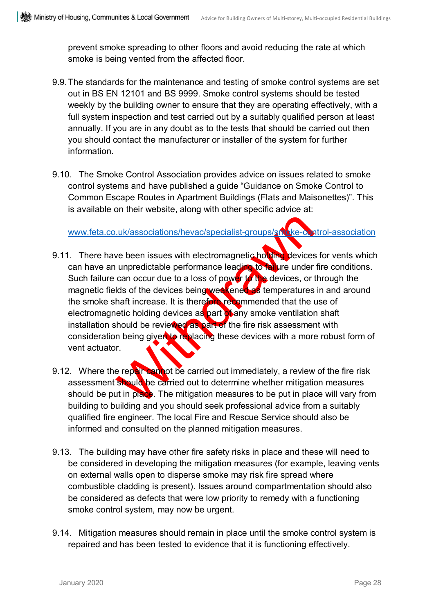prevent smoke spreading to other floors and avoid reducing the rate at which smoke is being vented from the affected floor.

- 9.9.The standards for the maintenance and testing of smoke control systems are set out in BS EN 12101 and BS 9999. Smoke control systems should be tested weekly by the building owner to ensure that they are operating effectively, with a full system inspection and test carried out by a suitably qualified person at least annually. If you are in any doubt as to the tests that should be carried out then you should contact the manufacturer or installer of the system for further information.
- 9.10. The Smoke Control Association provides advice on issues related to smoke control systems and have published a guide "Guidance on Smoke Control to Common Escape Routes in Apartment Buildings (Flats and Maisonettes)". This is available on their website, along with other specific advice at:

www.feta.co.uk/associations/hevac/specialist-groups/smoke-control-association

- Luk/associations/hevac/specialist-groups/shake-compare the comparison of the devices unpredictable performance leading to halure under can occur due to a loss of power to the devices, or lds of the devices being were tende 9.11. There have been issues with electromagnetic holding devices for vents which can have an unpredictable performance leading to failure under fire conditions. Such failure can occur due to a loss of power to the devices, or through the magnetic fields of the devices being weakened as temperatures in and around the smoke shaft increase. It is therefore recommended that the use of electromagnetic holding devices as part of any smoke ventilation shaft installation should be reviewed as part of the fire risk assessment with consideration being given to replacing these devices with a more robust form of vent actuator.
- 9.12. Where the repair cannot be carried out immediately, a review of the fire risk assessment should be carried out to determine whether mitigation measures should be put in place. The mitigation measures to be put in place will vary from building to building and you should seek professional advice from a suitably qualified fire engineer. The local Fire and Rescue Service should also be informed and consulted on the planned mitigation measures.
- 9.13. The building may have other fire safety risks in place and these will need to be considered in developing the mitigation measures (for example, leaving vents on external walls open to disperse smoke may risk fire spread where combustible cladding is present). Issues around compartmentation should also be considered as defects that were low priority to remedy with a functioning smoke control system, may now be urgent.
- 9.14. Mitigation measures should remain in place until the smoke control system is repaired and has been tested to evidence that it is functioning effectively.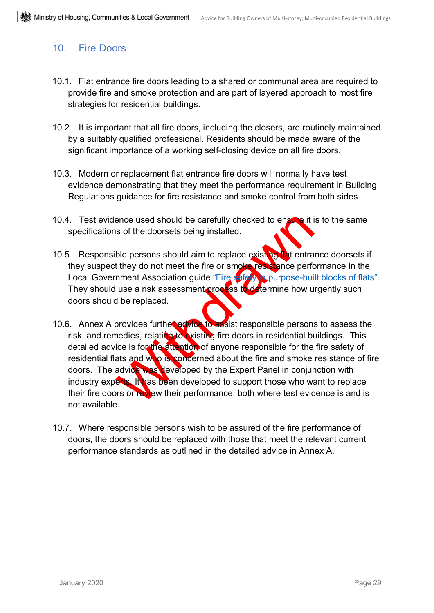### <span id="page-30-0"></span>10. Fire Doors

- 10.1. Flat entrance fire doors leading to a shared or communal area are required to provide fire and smoke protection and are part of layered approach to most fire strategies for residential buildings.
- 10.2. It is important that all fire doors, including the closers, are routinely maintained by a suitably qualified professional. Residents should be made aware of the significant importance of a working self-closing device on all fire doors.
- 10.3. Modern or replacement flat entrance fire doors will normally have test evidence demonstrating that they meet the performance requirement in Building Regulations guidance for fire resistance and smoke control from both sides.
- 10.4. Test evidence used should be carefully checked to ensure it is to the same specifications of the doorsets being installed.
- 10.5. Responsible persons should aim to replace existing flat entrance doorsets if they suspect they do not meet the fire or smoke resistance performance in the Local Government Association guide ["Fire safety in purpose-built blocks of flats".](https://www.local.gov.uk/sites/default/files/documents/fire-safety-purpose-built-04b.pdf) They should use a risk assessment process to determine how urgently such doors should be replaced.
- ence used should be carefully checked to ensine it it<br>is of the doorsets being installed.<br>
ble persons should aim to replace existing the tentra<br>
t they do not meet the fire or smoke existing the performent<br>
are a risk ass 10.6. Annex A provides further advice to assist responsible persons to assess the risk, and remedies, relating to existing fire doors in residential buildings. This detailed advice is for the attention of anyone responsible for the fire safety of residential flats and who is concerned about the fire and smoke resistance of fire doors. The advice was developed by the Expert Panel in conjunction with industry experts. It has been developed to support those who want to replace their fire doors or review their performance, both where test evidence is and is not available.
- 10.7. Where responsible persons wish to be assured of the fire performance of doors, the doors should be replaced with those that meet the relevant current performance standards as outlined in the detailed advice in Annex A.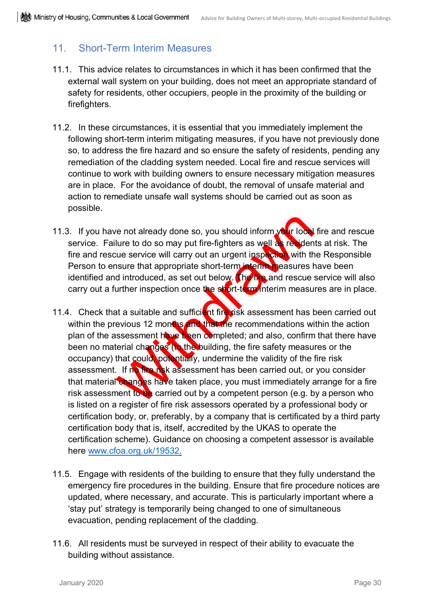### <span id="page-31-0"></span>11. Short-Term Interim Measures

- 11.1. This advice relates to circumstances in which it has been confirmed that the external wall system on your building, does not meet an appropriate standard of safety for residents, other occupiers, people in the proximity of the building or firefighters.
- 11.2. In these circumstances, it is essential that you immediately implement the following short-term interim mitigating measures, if you have not previously done so, to address the fire hazard and so ensure the safety of residents, pending any remediation of the cladding system needed. Local fire and rescue services will continue to work with building owners to ensure necessary mitigation measures are in place. For the avoidance of doubt, the removal of unsafe material and action to remediate unsafe wall systems should be carried out as soon as possible.
- 11.3. If you have not already done so, you should inform  $\sqrt{du}$  local fire and rescue service. Failure to do so may put fire-fighters as well as residents at risk. The fire and rescue service will carry out an urgent inspection with the Responsible Person to ensure that appropriate short-term interim measures have been identified and introduced, as set out below. The fire and rescue service will also carry out a further inspection once the short-term interim measures are in place.
- re not already done so, you should inform your local<br>lure to do so may put fire-fighters as well as resident<br>the service will carry out an urgent inspected with the<br>sum service will carry out an urgent inspected with the<br>s 11.4. Check that a suitable and sufficient fire risk assessment has been carried out within the previous 12 months and that the recommendations within the action plan of the assessment have been completed; and also, confirm that there have been no material changes (to the building, the fire safety measures or the occupancy) that could, potentially, undermine the validity of the fire risk assessment. If no fire risk assessment has been carried out, or you consider that material changes have taken place, you must immediately arrange for a fire risk assessment to be carried out by a competent person (e.g. by a person who is listed on a register of fire risk assessors operated by a professional body or certification body, or, preferably, by a company that is certificated by a third party certification body that is, itself, accredited by the UKAS to operate the certification scheme). Guidance on choosing a competent assessor is available here [www.cfoa.org.uk/19532.](http://www.cfoa.org.uk/19532)
- 11.5. Engage with residents of the building to ensure that they fully understand the emergency fire procedures in the building. Ensure that fire procedure notices are updated, where necessary, and accurate. This is particularly important where a 'stay put' strategy is temporarily being changed to one of simultaneous evacuation, pending replacement of the cladding.
- 11.6. All residents must be surveyed in respect of their ability to evacuate the building without assistance.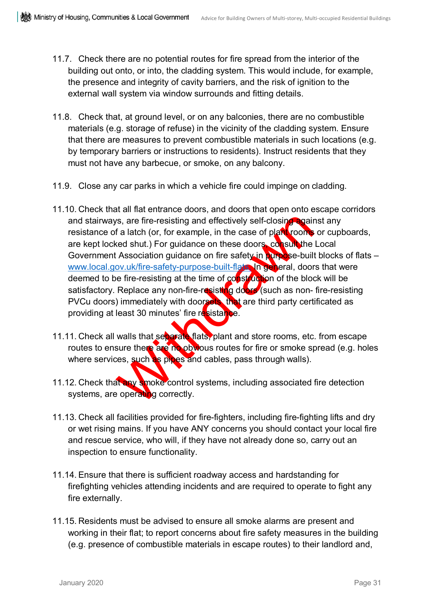- 11.7. Check there are no potential routes for fire spread from the interior of the building out onto, or into, the cladding system. This would include, for example, the presence and integrity of cavity barriers, and the risk of ignition to the external wall system via window surrounds and fitting details.
- 11.8. Check that, at ground level, or on any balconies, there are no combustible materials (e.g. storage of refuse) in the vicinity of the cladding system. Ensure that there are measures to prevent combustible materials in such locations (e.g. by temporary barriers or instructions to residents). Instruct residents that they must not have any barbecue, or smoke, on any balcony.
- 11.9. Close any car parks in which a vehicle fire could impinge on cladding.
- As, are fire-resisting and effectively self-closing again<br>
f a latch (or, for example, in the case of plansivoons<br>
and shut.) For guidance on these doors consult the<br>
L'Association guidance on these doors consult the<br>
Devi 11.10. Check that all flat entrance doors, and doors that open onto escape corridors and stairways, are fire-resisting and effectively self-closing against any resistance of a latch (or, for example, in the case of plant rooms or cupboards, are kept locked shut.) For guidance on these doors, consult the Local Government Association guidance on fire safety in purpose-built blocks of flats – [www.local.gov.uk/fire-safety-purpose-built-flats.](http://www.local.gov.uk/fire-safety-purpose-built-flats) In general, doors that were deemed to be fire-resisting at the time of construction of the block will be satisfactory. Replace any non-fire-resisting doors (such as non-fire-resisting PVCu doors) immediately with doorsets that are third party certificated as providing at least 30 minutes' fire resistance.
- 11.11. Check all walls that separate flats, plant and store rooms, etc. from escape routes to ensure there are no obvious routes for fire or smoke spread (e.g. holes where services, such as pipes and cables, pass through walls).
- 11.12. Check that any smoke control systems, including associated fire detection systems, are operating correctly.
- 11.13. Check all facilities provided for fire-fighters, including fire-fighting lifts and dry or wet rising mains. If you have ANY concerns you should contact your local fire and rescue service, who will, if they have not already done so, carry out an inspection to ensure functionality.
- 11.14. Ensure that there is sufficient roadway access and hardstanding for firefighting vehicles attending incidents and are required to operate to fight any fire externally.
- 11.15. Residents must be advised to ensure all smoke alarms are present and working in their flat; to report concerns about fire safety measures in the building (e.g. presence of combustible materials in escape routes) to their landlord and,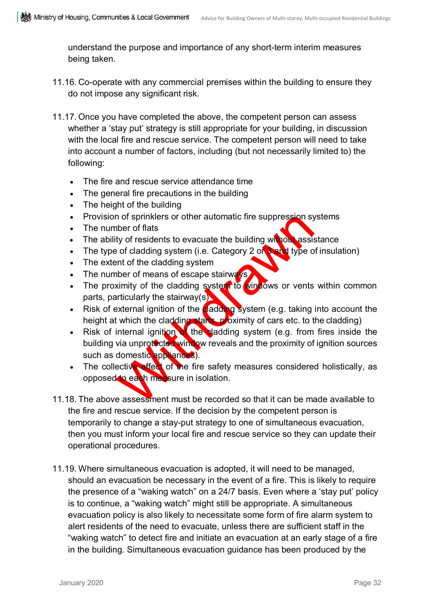understand the purpose and importance of any short-term interim measures being taken.

- 11.16. Co-operate with any commercial premises within the building to ensure they do not impose any significant risk.
- 11.17. Once you have completed the above, the competent person can assess whether a 'stay put' strategy is still appropriate for your building, in discussion with the local fire and rescue service. The competent person will need to take into account a number of factors, including (but not necessarily limited to) the following:
	- The fire and rescue service attendance time
	- The general fire precautions in the building
	- The height of the building
	- Provision of sprinklers or other automatic fire suppression systems
	- The number of flats
	- The ability of residents to evacuate the building without assistance
	- The type of cladding system (i.e. Category 2 or  $3$  and type of insulation)
	- The extent of the cladding system
	- The number of means of escape stairways
	- The proximity of the cladding system to windows or vents within common parts, particularly the stairway(s)
	- Risk of external ignition of the **cladding** system (e.g. taking into account the height at which the cladding starts, proximity of cars etc. to the cladding)
	- In of sprinklers or other automatic fire suppression symber of flats<br>ty of residents to evacuate the building without assisted of cladding system (i.e. Category 2 of the cladding system<br>there of means of escape stairway is Risk of internal ignition of the cladding system (e.g. from fires inside the building via unprotocted window reveals and the proximity of ignition sources such as domestic appliances).
	- The collective effect of the fire safety measures considered holistically, as opposed to each measure in isolation.
- 11.18. The above assessment must be recorded so that it can be made available to the fire and rescue service. If the decision by the competent person is temporarily to change a stay-put strategy to one of simultaneous evacuation, then you must inform your local fire and rescue service so they can update their operational procedures.
- 11.19. Where simultaneous evacuation is adopted, it will need to be managed, should an evacuation be necessary in the event of a fire. This is likely to require the presence of a "waking watch" on a 24/7 basis. Even where a 'stay put' policy is to continue, a "waking watch" might still be appropriate. A simultaneous evacuation policy is also likely to necessitate some form of fire alarm system to alert residents of the need to evacuate, unless there are sufficient staff in the "waking watch" to detect fire and initiate an evacuation at an early stage of a fire in the building. Simultaneous evacuation guidance has been produced by the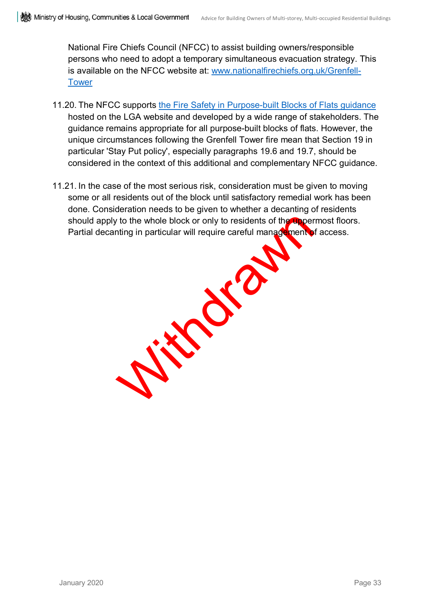National Fire Chiefs Council (NFCC) to assist building owners/responsible persons who need to adopt a temporary simultaneous evacuation strategy. This is available on the NFCC website at: [www.nationalfirechiefs.org.uk/Grenfell-](http://www.nationalfirechiefs.org.uk/Grenfell-Tower)[Tower](http://www.nationalfirechiefs.org.uk/Grenfell-Tower)

- 11.20. The NFCC supports [the Fire Safety in Purpose-built Blocks of Flats guidance](https://www.local.gov.uk/sites/default/files/documents/fire-safety-purpose-built-04b.pdf) hosted on the LGA website and developed by a wide range of stakeholders. The guidance remains appropriate for all purpose-built blocks of flats. However, the unique circumstances following the Grenfell Tower fire mean that Section 19 in particular 'Stay Put policy', especially paragraphs 19.6 and 19.7, should be considered in the context of this additional and complementary NFCC guidance.
- With drawn 11.21. In the case of the most serious risk, consideration must be given to moving some or all residents out of the block until satisfactory remedial work has been done. Consideration needs to be given to whether a decanting of residents should apply to the whole block or only to residents of the uppermost floors. Partial decanting in particular will require careful management of access.

January 2020 Page 33